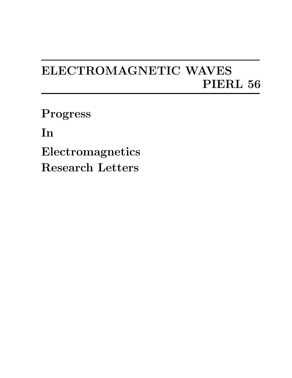## ELECTROMAGNETIC WAVES PIERL 56

Progress

In

Electromagnetics Research Letters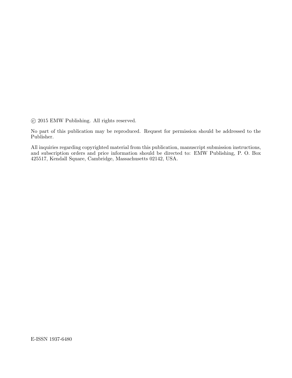$\odot$  2015 EMW Publishing. All rights reserved.

No part of this publication may be reproduced. Request for permission should be addressed to the Publisher.

All inquiries regarding copyrighted material from this publication, manuscript submission instructions, and subscription orders and price information should be directed to: EMW Publishing, P. O. Box 425517, Kendall Square, Cambridge, Massachusetts 02142, USA.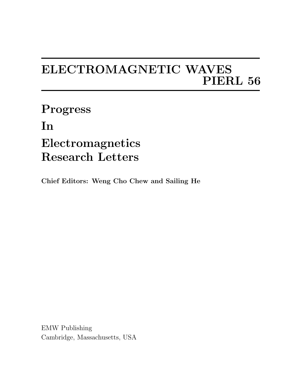## ELECTROMAGNETIC WAVES PIERL 56

Progress In Electromagnetics Research Letters

Chief Editors: Weng Cho Chew and Sailing He

EMW Publishing Cambridge, Massachusetts, USA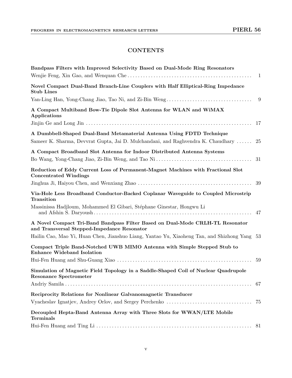## **CONTENTS**

| Bandpass Filters with Improved Selectivity Based on Dual-Mode Ring Resonators                                                                             | $\mathbf{1}$ |
|-----------------------------------------------------------------------------------------------------------------------------------------------------------|--------------|
| Novel Compact Dual-Band Branch-Line Couplers with Half Elliptical-Ring Impedance<br><b>Stub Lines</b>                                                     |              |
|                                                                                                                                                           | 9            |
| A Compact Multiband Bow-Tie Dipole Slot Antenna for WLAN and WiMAX<br>Applications                                                                        |              |
|                                                                                                                                                           |              |
| A Dumbbell-Shaped Dual-Band Metamaterial Antenna Using FDTD Technique<br>Sameer K. Sharma, Devvrat Gupta, Jai D. Mulchandani, and Raghvendra K. Chaudhary | 25           |
| A Compact Broadband Slot Antenna for Indoor Distributed Antenna Systems                                                                                   | 31           |
| Reduction of Eddy Current Loss of Permanent-Magnet Machines with Fractional Slot<br><b>Concentrated Windings</b>                                          |              |
| Via-Hole Less Broadband Conductor-Backed Coplanar Waveguide to Coupled Microstrip<br>Transition                                                           |              |
| Massinissa Hadjloum, Mohammed El Gibari, Stéphane Ginestar, Hongwu Li                                                                                     |              |
| A Novel Compact Tri-Band Bandpass Filter Based on Dual-Mode CRLH-TL Resonator<br>and Transversal Stepped-Impedance Resonator                              |              |
| Hailin Cao, Mao Yi, Huan Chen, Jianshuo Liang, Yantao Yu, Xiaoheng Tan, and Shizhong Yang 53                                                              |              |
| Compact Triple Band-Notched UWB MIMO Antenna with Simple Stepped Stub to<br><b>Enhance Wideband Isolation</b>                                             |              |
|                                                                                                                                                           |              |
| Simulation of Magnetic Field Topology in a Saddle-Shaped Coil of Nuclear Quadrupole<br><b>Resonance Spectrometer</b>                                      |              |
|                                                                                                                                                           |              |
| Reciprocity Relations for Nonlinear Galvanomagnetic Transducer                                                                                            |              |
|                                                                                                                                                           |              |
| Decoupled Hepta-Band Antenna Array with Three Slots for WWAN/LTE Mobile<br><b>Terminals</b>                                                               |              |
|                                                                                                                                                           |              |